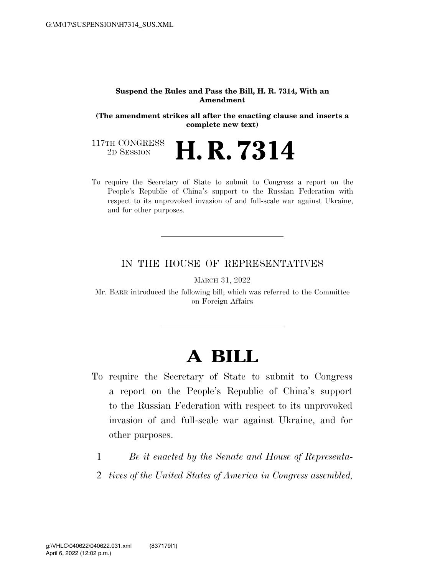#### **Suspend the Rules and Pass the Bill, H. R. 7314, With an Amendment**

**(The amendment strikes all after the enacting clause and inserts a complete new text)** 

117TH CONGRESS<br>2D SESSION 2D SESSION **H. R. 7314** 

To require the Secretary of State to submit to Congress a report on the People's Republic of China's support to the Russian Federation with respect to its unprovoked invasion of and full-scale war against Ukraine, and for other purposes.

## IN THE HOUSE OF REPRESENTATIVES

MARCH 31, 2022

Mr. BARR introduced the following bill; which was referred to the Committee on Foreign Affairs

# **A BILL**

- To require the Secretary of State to submit to Congress a report on the People's Republic of China's support to the Russian Federation with respect to its unprovoked invasion of and full-scale war against Ukraine, and for other purposes.
	- 1 *Be it enacted by the Senate and House of Representa-*
	- 2 *tives of the United States of America in Congress assembled,*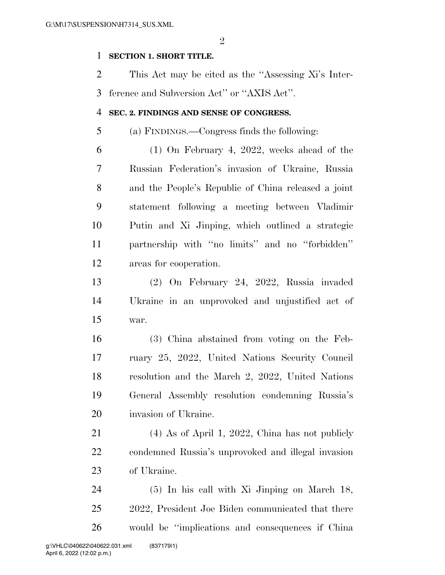$\mathfrak{D}$ 

## **SECTION 1. SHORT TITLE.**

 This Act may be cited as the ''Assessing Xi's Inter-ference and Subversion Act'' or ''AXIS Act''.

### **SEC. 2. FINDINGS AND SENSE OF CONGRESS.**

(a) FINDINGS.—Congress finds the following:

 (1) On February 4, 2022, weeks ahead of the Russian Federation's invasion of Ukraine, Russia and the People's Republic of China released a joint statement following a meeting between Vladimir Putin and Xi Jinping, which outlined a strategic partnership with ''no limits'' and no ''forbidden'' areas for cooperation.

 (2) On February 24, 2022, Russia invaded Ukraine in an unprovoked and unjustified act of war.

 (3) China abstained from voting on the Feb- ruary 25, 2022, United Nations Security Council resolution and the March 2, 2022, United Nations General Assembly resolution condemning Russia's invasion of Ukraine.

 (4) As of April 1, 2022, China has not publicly condemned Russia's unprovoked and illegal invasion of Ukraine.

 (5) In his call with Xi Jinping on March 18, 2022, President Joe Biden communicated that there would be ''implications and consequences if China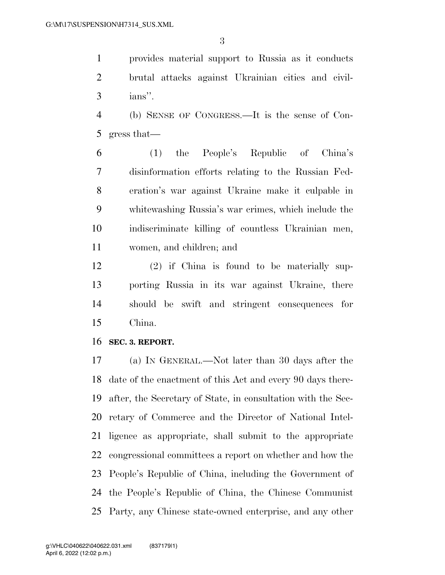provides material support to Russia as it conducts brutal attacks against Ukrainian cities and civil-ians''.

 (b) SENSE OF CONGRESS.—It is the sense of Con-gress that—

 (1) the People's Republic of China's disinformation efforts relating to the Russian Fed- eration's war against Ukraine make it culpable in whitewashing Russia's war crimes, which include the indiscriminate killing of countless Ukrainian men, women, and children; and

 (2) if China is found to be materially sup- porting Russia in its war against Ukraine, there should be swift and stringent consequences for China.

**SEC. 3. REPORT.** 

 (a) IN GENERAL.—Not later than 30 days after the date of the enactment of this Act and every 90 days there- after, the Secretary of State, in consultation with the Sec- retary of Commerce and the Director of National Intel- ligence as appropriate, shall submit to the appropriate congressional committees a report on whether and how the People's Republic of China, including the Government of the People's Republic of China, the Chinese Communist Party, any Chinese state-owned enterprise, and any other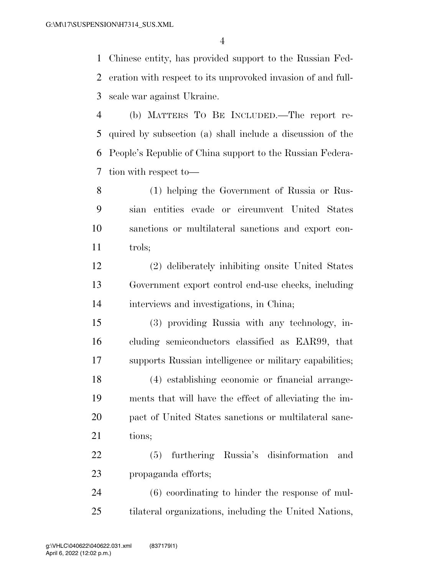Chinese entity, has provided support to the Russian Fed- eration with respect to its unprovoked invasion of and full-scale war against Ukraine.

 (b) MATTERS TO BE INCLUDED.—The report re- quired by subsection (a) shall include a discussion of the People's Republic of China support to the Russian Federa-tion with respect to—

 (1) helping the Government of Russia or Rus- sian entities evade or circumvent United States sanctions or multilateral sanctions and export con-11 trols;

 (2) deliberately inhibiting onsite United States Government export control end-use checks, including interviews and investigations, in China;

 (3) providing Russia with any technology, in- cluding semiconductors classified as EAR99, that supports Russian intelligence or military capabilities; (4) establishing economic or financial arrange- ments that will have the effect of alleviating the im- pact of United States sanctions or multilateral sanc-21 tions:

 (5) furthering Russia's disinformation and propaganda efforts;

 (6) coordinating to hinder the response of mul-tilateral organizations, including the United Nations,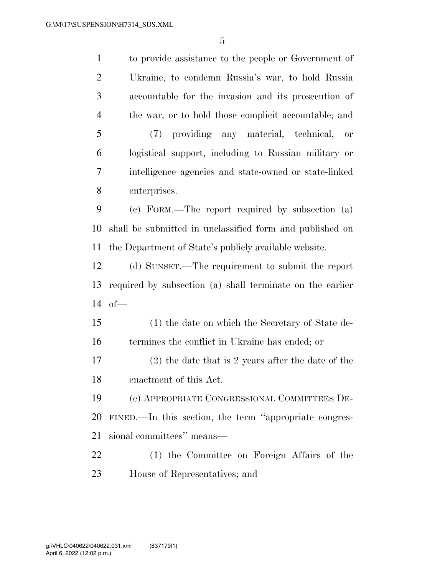to provide assistance to the people or Government of Ukraine, to condemn Russia's war, to hold Russia accountable for the invasion and its prosecution of the war, or to hold those complicit accountable; and (7) providing any material, technical, or logistical support, including to Russian military or intelligence agencies and state-owned or state-linked enterprises. (c) FORM.—The report required by subsection (a) shall be submitted in unclassified form and published on the Department of State's publicly available website. (d) SUNSET.—The requirement to submit the report required by subsection (a) shall terminate on the earlier of— (1) the date on which the Secretary of State de- termines the conflict in Ukraine has ended; or (2) the date that is 2 years after the date of the enactment of this Act. (e) APPROPRIATE CONGRESSIONAL COMMITTEES DE- FINED.—In this section, the term ''appropriate congres- sional committees'' means— (1) the Committee on Foreign Affairs of the

House of Representatives; and